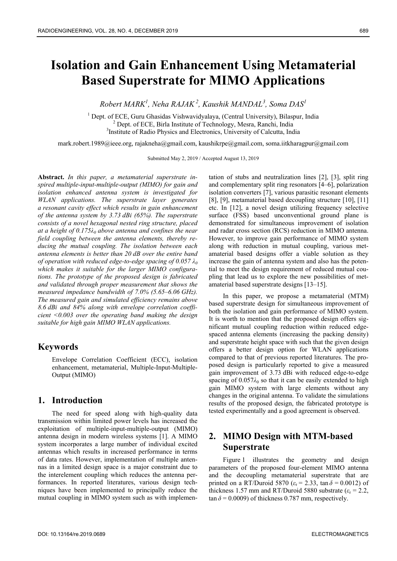# **Isolation and Gain Enhancement Using Metamaterial Based Superstrate for MIMO Applications**

*Robert MARK<sup>1</sup> , Neha RAJAK<sup>2</sup>, Kaushik MANDAL<sup>3</sup> , Soma DAS<sup>1</sup>*

<sup>1</sup> Dept. of ECE, Guru Ghasidas Vishwavidyalaya, (Central University), Bilaspur, India <sup>2</sup> Dept. of ECE, Birla Institute of Technology, Mesra, Ranchi, India <sup>3</sup>Institute of Radio Physics and Electronics, University of Calcutta, India

mark.robert.1989@ieee.org, rajakneha@gmail.com, kaushikrpe@gmail.com, soma.iitkharagpur@gmail.com

Submitted May 2, 2019 / Accepted August 13, 2019

**Abstract.** *In this paper, a metamaterial superstrate inspired multiple-input-multiple-output (MIMO) for gain and isolation enhanced antenna system is investigated for WLAN applications. The superstrate layer generates a resonant cavity effect which results in gain enhancement of the antenna system by 3.73 dBi (65%). The superstrate consists of a novel hexagonal nested ring structure, placed at a height of 0.175λ0 above antenna and confines the near field coupling between the antenna elements, thereby reducing the mutual coupling. The isolation between each antenna elements is better than 20 dB over the entire band of operation with reduced edge-to-edge spacing of 0.057 λ<sup>0</sup> which makes it suitable for the larger MIMO configurations. The prototype of the proposed design is fabricated and validated through proper measurement that shows the measured impedance bandwidth of 7.0% (5.65–6.06 GHz). The measured gain and simulated efficiency remains above 8.6 dBi and 84% along with envelope correlation coefficient ˂0.003 over the operating band making the design suitable for high gain MIMO WLAN applications.* 

## **Keywords**

Envelope Correlation Coefficient (ECC), isolation enhancement, metamaterial, Multiple-Input-Multiple-Output (MIMO)

## **1. Introduction**

The need for speed along with high-quality data transmission within limited power levels has increased the exploitation of multiple-input-multiple-output (MIMO) antenna design in modern wireless systems [1]. A MIMO system incorporates a large number of individual excited antennas which results in increased performance in terms of data rates. However, implementation of multiple antennas in a limited design space is a major constraint due to the interelement coupling which reduces the antenna performances. In reported literatures, various design techniques have been implemented to principally reduce the mutual coupling in MIMO system such as with implementation of stubs and neutralization lines [2], [3], split ring and complementary split ring resonators [4–6], polarization isolation converters [7], various parasitic resonant elements [8], [9], metamaterial based decoupling structure [10], [11] etc. In [12], a novel design utilizing frequency selective surface (FSS) based unconventional ground plane is demonstrated for simultaneous improvement of isolation and radar cross section (RCS) reduction in MIMO antenna. However, to improve gain performance of MIMO system along with reduction in mutual coupling, various metamaterial based designs offer a viable solution as they increase the gain of antenna system and also has the potential to meet the design requirement of reduced mutual coupling that lead us to explore the new possibilities of metamaterial based superstrate designs [13–15].

In this paper, we propose a metamaterial (MTM) based superstrate design for simultaneous improvement of both the isolation and gain performance of MIMO system. It is worth to mention that the proposed design offers significant mutual coupling reduction within reduced edgespaced antenna elements (increasing the packing density) and superstrate height space with such that the given design offers a better design option for WLAN applications compared to that of previous reported literatures. The proposed design is particularly reported to give a measured gain improvement of 3.73 dBi with reduced edge-to-edge spacing of  $0.057\lambda_0$  so that it can be easily extended to high gain MIMO system with large elements without any changes in the original antenna. To validate the simulations results of the proposed design, the fabricated prototype is tested experimentally and a good agreement is observed.

# **2. MIMO Design with MTM-based Superstrate**

Figure 1 illustrates the geometry and design parameters of the proposed four-element MIMO antenna and the decoupling metamaterial superstrate that are printed on a RT/Duroid 5870 ( $\varepsilon$ <sub>r</sub> = 2.33, tan  $\delta$  = 0.0012) of thickness 1.57 mm and RT/Duroid 5880 substrate  $(\varepsilon_r = 2.2,$  $\tan \delta = 0.0009$ ) of thickness 0.787 mm, respectively.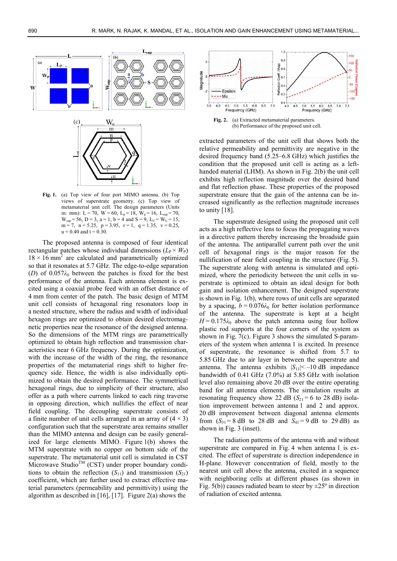

**Fig. 1.** (a) Top view of four port MIMO antenna. (b) Top views of superstrate geometry. (c) Top view of metamaterial unit cell. The design parameters (Units in: mm): L = 70, W = 60, L<sub>p</sub> = 18, W<sub>p</sub> = 16, L<sub>sup</sub> = 70,  $W_{\text{sup}} = 56$ ,  $D = 3$ ,  $a = 1$ ,  $b = 4$  and  $S = 9$ ,  $L_U = W_U = 15$ ,  $m = 7$ ,  $n = 5.25$ ,  $p = 3.95$ ,  $r = 1$ ,  $q = 1.35$ ,  $v = 0.25$ ,  $u = 0.40$  and  $t = 0.30$ .

The proposed antenna is composed of four identical rectangular patches whose individual dimensions  $(L_P \times W_P)$  $18 \times 16$  mm<sup>2</sup> are calculated and parametrically optimized so that it resonates at 5.7 GHz. The edge-to-edge separation (*D*) of 0.057*λ*0 between the patches is fixed for the best performance of the antenna. Each antenna element is excited using a coaxial probe feed with an offset distance of 4 mm from center of the patch. The basic design of MTM unit cell consists of hexagonal ring resonators loop in a nested structure, where the radius and width of individual hexagon rings are optimized to obtain desired electromagnetic properties near the resonance of the designed antenna. So the dimensions of the MTM rings are parametrically optimized to obtain high reflection and transmission characteristics near 6 GHz frequency. During the optimization, with the increase of the width of the ring, the resonance properties of the metamaterial rings shift to higher frequency side. Hence, the width is also individually optimized to obtain the desired performance. The symmetrical hexagonal rings, due to simplicity of their structure, also offer as a path where currents linked to each ring traverse in opposing direction, which nullifies the effect of near field coupling. The decoupling superstrate consists of a finite number of unit cells arranged in an array of  $(4 \times 3)$ configuration such that the superstrate area remains smaller than the MIMO antenna and design can be easily generalized for large elements MIMO. Figure 1(b) shows the MTM superstrate with no copper on bottom side of the superstrate. The metamaterial unit cell is simulated in CST Microwave Studio<sup>TM</sup> (CST) under proper boundary conditions to obtain the reflection  $(S_{11})$  and transmission  $(S_{21})$ coefficient, which are further used to extract effective material parameters (permeability and permittivity) using the algorithm as described in  $[16]$ ,  $[17]$ . Figure 2(a) shows the



Fig. 2. (a) Extracted metamaterial parameters. (b) Performance of the proposed unit cell.

extracted parameters of the unit cell that shows both the relative permeability and permittivity are negative in the desired frequency band (5.25–6.8 GHz) which justifies the condition that the proposed unit cell is acting as a lefthanded material (LHM). As shown in Fig. 2(b) the unit cell exhibits high reflection magnitude over the desired band and flat reflection phase. These properties of the proposed superstrate ensure that the gain of the antenna can be increased significantly as the reflection magnitude increases to unity  $[18]$ .

The superstrate designed using the proposed unit cell acts as a high reflective lens to focus the propagating waves in a directive pattern thereby increasing the broadside gain of the antenna. The antiparallel current path over the unit cell of hexagonal rings is the major reason for the nullification of near field coupling in the structure (Fig. 5). The superstrate along with antenna is simulated and optimized, where the periodicity between the unit cells in superstrate is optimized to obtain an ideal design for both gain and isolation enhancement. The designed superstrate is shown in Fig. 1(b), where rows of unit cells are separated by a spacing,  $b = 0.076\lambda_0$  for better isolation performance of the antenna. The superstrate is kept at a height  $H = 0.175\lambda_0$  above the patch antenna using four hollow plastic rod supports at the four corners of the system as shown in Fig. 7(c). Figure 3 shows the simulated S-parameters of the system when antenna 1 is excited. In presence of superstrate, the resonance is shifted from 5.7 to 5.85 GHz due to air layer in between the superstrate and antenna. The antenna exhibits  $|S_{11}| < -10$  dB impedance bandwidth of 0.41 GHz (7.0%) at 5.85 GHz with isolation level also remaining above 20 dB over the entire operating band for all antenna elements. The simulation results at resonating frequency show 22 dB  $(S_{21} = 6$  to 28 dB) isolation improvement between antenna 1 and 2 and approx. 20 dB improvement between diagonal antenna elements from  $(S_{31} = 8$  dB to 28 dB and  $S_{41} = 9$  dB to 29 dB) as shown in Fig. 3 (inset).

The radiation patterns of the antenna with and without superstrate are compared in Fig. 4 when antenna 1 is excited. The effect of superstrate is direction independence in H-plane. However concentration of field, mostly to the nearest unit cell above the antenna, excited in a sequence with neighboring cells at different phases (as shown in Fig.  $5(b)$ ) causes radiated beam to steer by  $\pm 25^{\circ}$  in direction of radiation of excited antenna.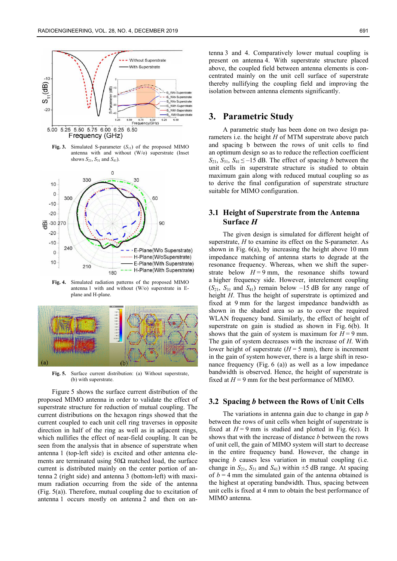

**Fig. 3.** Simulated S-parameter  $(S_{11})$  of the proposed MIMO antenna with and without (W/o) superstrate (Inset shows  $S_{21}$ ,  $S_{31}$  and  $S_{41}$ ).



**Fig. 4.** Simulated radiation patterns of the proposed MIMO antenna 1 with and without (W/o) superstrate in Eplane and H-plane.



**Fig. 5.** Surface current distribution: (a) Without superstrate, (b) with superstrate.

Figure 5 shows the surface current distribution of the proposed MIMO antenna in order to validate the effect of superstrate structure for reduction of mutual coupling. The current distributions on the hexagon rings showed that the current coupled to each unit cell ring traverses in opposite direction in half of the ring as well as in adjacent rings, which nullifies the effect of near-field coupling. It can be seen from the analysis that in absence of superstrate when antenna 1 (top-left side) is excited and other antenna elements are terminated using  $50\Omega$  matched load, the surface current is distributed mainly on the center portion of antenna 2 (right side) and antenna 3 (bottom-left) with maximum radiation occurring from the side of the antenna (Fig. 5(a)). Therefore, mutual coupling due to excitation of antenna 1 occurs mostly on antenna 2 and then on antenna 3 and 4. Comparatively lower mutual coupling is present on antenna 4. With superstrate structure placed above, the coupled field between antenna elements is concentrated mainly on the unit cell surface of superstrate thereby nullifying the coupling field and improving the isolation between antenna elements significantly.

## **3. Parametric Study**

A parametric study has been done on two design parameters i.e. the height *H* of MTM superstrate above patch and spacing b between the rows of unit cells to find an optimum design so as to reduce the reflection coefficient  $S_{21}$ ,  $S_{31}$ ,  $S_{41} \le -15$  dB. The effect of spacing *b* between the unit cells in superstrate structure is studied to obtain maximum gain along with reduced mutual coupling so as to derive the final configuration of superstrate structure suitable for MIMO configuration.

#### **3.1 Height of Superstrate from the Antenna Surface** *H*

The given design is simulated for different height of superstrate, *H* to examine its effect on the S-parameter. As shown in Fig. 6(a), by increasing the height above 10 mm impedance matching of antenna starts to degrade at the resonance frequency. Whereas, when we shift the superstrate below  $H = 9$  mm, the resonance shifts toward a higher frequency side. However, interelement coupling  $(S_{21}, S_{31} \text{ and } S_{41})$  remain below  $-15$  dB for any range of height *H*. Thus the height of superstrate is optimized and fixed at 9 mm for the largest impedance bandwidth as shown in the shaded area so as to cover the required WLAN frequency band. Similarly, the effect of height of superstrate on gain is studied as shown in Fig. 6(b). It shows that the gain of system is maximum for  $H = 9$  mm. The gain of system decreases with the increase of *H*. With lower height of superstrate  $(H = 5$  mm), there is increment in the gain of system however, there is a large shift in resonance frequency (Fig. 6 (a)) as well as a low impedance bandwidth is observed. Hence, the height of superstrate is fixed at  $H = 9$  mm for the best performance of MIMO.

#### **3.2 Spacing** *b* **between the Rows of Unit Cells**

The variations in antenna gain due to change in gap *b* between the rows of unit cells when height of superstrate is fixed at  $H = 9$  mm is studied and plotted in Fig. 6(c). It shows that with the increase of distance *b* between the rows of unit cell, the gain of MIMO system will start to decrease in the entire frequency band. However, the change in spacing *b* causes less variation in mutual coupling (i.e. change in  $S_{21}$ ,  $S_{31}$  and  $S_{41}$ ) within  $\pm 5$  dB range. At spacing of  $b = 4$  mm the simulated gain of the antenna obtained is the highest at operating bandwidth. Thus, spacing between unit cells is fixed at 4 mm to obtain the best performance of MIMO antenna.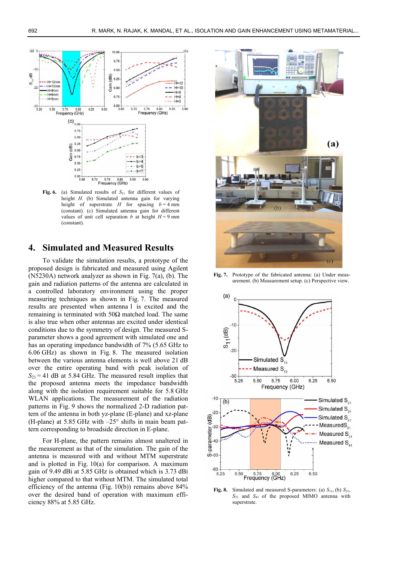

Fig. 6. (a) Simulated results of  $S<sub>11</sub>$  for different values of height *H*. (b) Simulated antenna gain for varying height of superstrate *H* for spacing  $b = 4$  mm (constant). (c) Simulated antenna gain for different values of unit cell separation *b* at height  $H = 9$  mm (constant).

# **4. Simulated and Measured Results**

To validate the simulation results, a prototype of the proposed design is fabricated and measured using Agilent (N5230A) network analyzer as shown in Fig. 7(a), (b). The gain and radiation patterns of the antenna are calculated in a controlled laboratory environment using the proper measuring techniques as shown in Fig. 7. The measured results are presented when antenna 1 is excited and the remaining is terminated with 50Ω matched load. The same is also true when other antennas are excited under identical conditions due to the symmetry of design. The measured Sparameter shows a good agreement with simulated one and has an operating impedance bandwidth of 7% (5.65 GHz to 6.06 GHz) as shown in Fig. 8. The measured isolation between the various antenna elements is well above 21 dB over the entire operating band with peak isolation of  $S_{21}$  = 41 dB at 5.84 GHz. The measured result implies that the proposed antenna meets the impedance bandwidth along with the isolation requirement suitable for 5.8 GHz WLAN applications. The measurement of the radiation patterns in Fig. 9 shows the normalized 2-D radiation pattern of the antenna in both yz-plane (E-plane) and xz-plane (H-plane) at 5.85 GHz with  $-25^{\circ}$  shifts in main beam pattern corresponding to broadside direction in E-plane.

For H-plane, the pattern remains almost unaltered in the measurement as that of the simulation. The gain of the antenna is measured with and without MTM superstrate and is plotted in Fig. 10(a) for comparison. A maximum gain of 9.49 dBi at 5.85 GHz is obtained which is 3.73 dBi higher compared to that without MTM. The simulated total efficiency of the antenna (Fig.  $10(b)$ ) remains above 84% over the desired band of operation with maximum efficiency 88% at 5.85 GHz.



**Fig. 7.** Prototype of the fabricated antenna: (a) Under measurement. (b) Measurement setup. (c) Perspective view.



**Fig. 8.** Simulated and measured S-parameters: (a)  $S_{11}$ , (b)  $S_{21}$ , *S*31 and *S*41 of the proposed MIMO antenna with superstrate.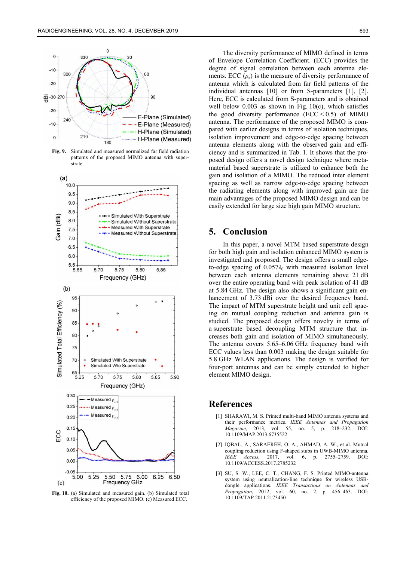

**Fig. 9.** Simulated and measured normalized far field radiation patterns of the proposed MIMO antenna with superstrate.



**Fig. 10.** (a) Simulated and measured gain. (b) Simulated total efficiency of the proposed MIMO. (c) Measured ECC.

The diversity performance of MIMO defined in terms of Envelope Correlation Coefficient. (ECC) provides the degree of signal correlation between each antenna elements. ECC  $(\rho_e)$  is the measure of diversity performance of antenna which is calculated from far field patterns of the individual antennas [10] or from S-parameters [1], [2]. Here, ECC is calculated from S-parameters and is obtained well below  $0.003$  as shown in Fig.  $10(c)$ , which satisfies the good diversity performance  $(ECC < 0.5)$  of MIMO antenna. The performance of the proposed MIMO is compared with earlier designs in terms of isolation techniques, isolation improvement and edge-to-edge spacing between antenna elements along with the observed gain and efficiency and is summarized in Tab. 1. It shows that the proposed design offers a novel design technique where metamaterial based superstrate is utilized to enhance both the gain and isolation of a MIMO. The reduced inter element spacing as well as narrow edge-to-edge spacing between the radiating elements along with improved gain are the main advantages of the proposed MIMO design and can be easily extended for large size high gain MIMO structure.

## **5. Conclusion**

In this paper, a novel MTM based superstrate design for both high gain and isolation enhanced MIMO system is investigated and proposed. The design offers a small edgeto-edge spacing of  $0.057\lambda_0$  with measured isolation level between each antenna elements remaining above 21 dB over the entire operating band with peak isolation of 41 dB at 5.84 GHz. The design also shows a significant gain enhancement of 3.73 dBi over the desired frequency band. The impact of MTM superstrate height and unit cell spacing on mutual coupling reduction and antenna gain is studied. The proposed design offers novelty in terms of a superstrate based decoupling MTM structure that increases both gain and isolation of MIMO simultaneously. The antenna covers 5.65–6.06 GHz frequency band with ECC values less than 0.003 making the design suitable for 5.8 GHz WLAN applications. The design is verified for four-port antennas and can be simply extended to higher element MIMO design.

#### **References**

- [1] SHARAWI, M. S. Printed multi-band MIMO antenna systems and their performance metrics. *IEEE Antennas and Propagation Magazine,* 2013, vol. 55, no. 5, p. 218–232. DOI: 10.1109/MAP.2013.6735522
- [2] IQBAL, A., SARAEREH, O. A., AHMAD, A. W., et al. Mutual coupling reduction using F-shaped stubs in UWB-MIMO antenna. *IEEE Access*, 2017, vol. 6, p. 2755–2759. DOI: 10.1109/ACCESS.2017.2785232
- [3] SU, S. W., LEE, C. T., CHANG, F. S. Printed MIMO-antenna system using neutralization-line technique for wireless USBdongle applications. *IEEE Transactions on Antennas and Propagation*, 2012, vol. 60, no. 2, p. 456–463. DOI: 10.1109/TAP.2011.2173450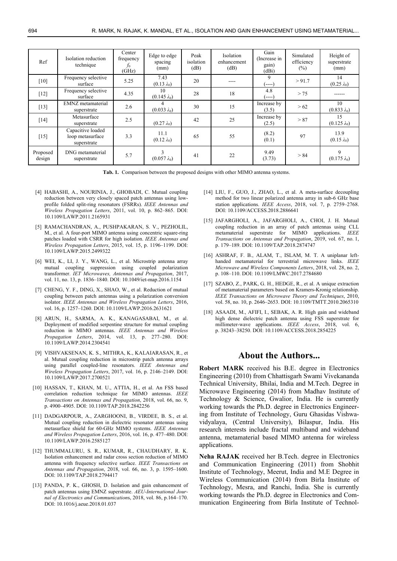| Ref                | Isolation reduction<br>technique                     | Center<br>frequency<br>$f_{0}$<br>(GHz) | Edge to edge<br>spacing<br>(mm) | Peak<br>isolation<br>(dB) | Isolation<br>enhancement<br>(dB) | Gain<br>(Increase in<br>gain)<br>(dBi) | Simulated<br>efficiency<br>$(\%)$ | Height of<br>superstrate<br>(mm) |
|--------------------|------------------------------------------------------|-----------------------------------------|---------------------------------|---------------------------|----------------------------------|----------------------------------------|-----------------------------------|----------------------------------|
| $[10]$             | Frequency selective<br>surface                       | 5.25                                    | 7.43<br>$(0.13 \lambda_0)$      | 20                        | ----                             | 9<br>(----)                            | > 91.7                            | 14<br>$(0.25 \lambda_0)$         |
| $[12]$             | Frequency selective<br>surface                       | 4.35                                    | 10<br>$(0.145 \lambda_0)$       | 28                        | 18                               | 4.8<br>ั----)                          | > 75                              | -----                            |
| $[13]$             | EMNZ metamaterial<br>superstrate                     | 2.6                                     | 4<br>$(0.033 \lambda_0)$        | 30                        | 15                               | Increase by<br>(3.5)                   | > 62                              | 10<br>$(0.833 \lambda_0)$        |
| $[14]$             | Metasurface<br>superstrate                           | 2.5                                     | $(0.27 \lambda_0)$              | 42                        | 25                               | Increase by<br>(2.5)                   | > 87                              | 15<br>$(0.125 \lambda_0)$        |
| $[15]$             | Capacitive loaded<br>loop metasurface<br>superstrate | 3.3                                     | 11.1<br>$(0.12 \lambda_0)$      | 65                        | 55                               | (8.2)<br>(0.1)                         | 97                                | 13.9<br>$(0.15 \lambda_0)$       |
| Proposed<br>design | DNG metamaterial<br>superstrate                      | 5.7                                     | 3<br>$(0.057 \lambda_0)$        | 41                        | 22                               | 9.49<br>(3.73)                         | > 84                              | 9<br>$(0.175 \lambda_0)$         |

**Tab. 1.** Comparison between the proposed designs with other MIMO antenna systems.

- [4] HABASHI, A., NOURINIA, J., GHOBADI, C. Mutual coupling reduction between very closely spaced patch antennas using lowprofile folded split-ring resonators (FSRRs). *IEEE Antennas and Wireless Propagation Letters*, 2011, vol. 10, p. 862–865. DOI: 10.1109/LAWP.2011.2165931
- [5] RAMACHANDRAN, A., PUSHPAKARAN, S. V., PEZHOLIL, M., et al. A four-port MIMO antenna using concentric square-ring patches loaded with CSRR for high isolation. *IEEE Antennas and Wireless Propagation Letters*, 2015, vol. 15, p. 1196–1199. DOI: 10.1109/LAWP.2015.2499322
- [6] WEI, K., LI, J. Y., WANG, L., et al. Microstrip antenna array mutual coupling suppression using coupled polarization transformer. *IET Microwaves, Antennas and Propagation*, 2017, vol. 11, no. 13, p. 1836–1840. DOI: 10.1049/iet-map.2016.1154
- [7] CHENG, Y. F., DING, X., SHAO, W., et al. Reduction of mutual coupling between patch antennas using a polarization conversion isolator. *IEEE Antennas and Wireless Propagation Letters*, 2016, vol. 16, p. 1257–1260. DOI: 10.1109/LAWP.2016.2631621
- [8] ARUN, H., SARMA, A. K., KANAGASABAI, M., et al. Deployment of modified serpentine structure for mutual coupling reduction in MIMO antennas. *IEEE Antennas and Wireless Propagation Letters*, 2014, vol. 13, p. 277–280. DOI: 10.1109/LAWP.2014.2304541
- [9] VISHVAKSENAN, K. S., MITHRA, K., KALAIARASAN, R., et al. Mutual coupling reduction in microstrip patch antenna arrays using parallel coupled-line resonators. *IEEE Antennas and Wireless Propagation Letters*, 2017, vol. 16, p. 2146–2149. DOI: 10.1109/LAWP.2017.2700521
- [10] HASSAN, T., KHAN, M. U., ATTIA, H., et al. An FSS based correlation reduction technique for MIMO antennas. *IEEE Transactions on Antennas and Propagation*, 2018, vol. 66, no. 9, p. 4900–4905. DOI: 10.1109/TAP.2018.2842256
- [11] DADGARPOUR, A., ZARGHOONI, B., VIRDEE, B. S., et al. Mutual coupling reduction in dielectric resonator antennas using metasurface shield for 60-GHz MIMO systems. *IEEE Antennas and Wireless Propagation Letters*, 2016, vol. 16, p. 477–480. DOI: 10.1109/LAWP.2016.2585127
- [12] THUMMALURU, S. R., KUMAR, R., CHAUDHARY, R. K. Isolation enhancement and radar cross section reduction of MIMO antenna with frequency selective surface. *IEEE Transactions on Antennas and Propagation*, 2018, vol. 66, no. 3, p. 1595–1600. DOI: 10.1109/TAP.2018.2794417
- [13] PANDA, P. K., GHOSH, D. Isolation and gain enhancement of patch antennas using EMNZ superstrate. *AEU-International Journal of Electronics and Communication*s, 2018, vol. 86, p.164–170. DOI: 10.1016/j.aeue.2018.01.037
- [14] LIU, F., GUO, J., ZHAO, L., et al. A meta-surface decoupling method for two linear polarized antenna array in sub-6 GHz base station applications. *IEEE Access*, 2018, vol. 7, p. 2759–2768. DOI: 10.1109/ACCESS.2018.2886641
- [15] JAFARGHOLI, A., JAFARGHOLI, A., CHOI, J. H. Mutual coupling reduction in an array of patch antennas using CLL metamaterial superstrate for MIMO applications. *IEEE Transactions on Antennas and Propagation*, 2019, vol. 67, no. 1, p. 179–189. DOI: 10.1109/TAP.2018.2874747
- [16] ASHRAF, F. B., ALAM, T., ISLAM, M. T. A uniplanar lefthanded metamaterial for terrestrial microwave links. *IEEE Microwave and Wireless Components Letters*, 2018, vol. 28, no. 2, p. 108–110. DOI: 10.1109/LMWC.2017.2784680
- [17] SZABO, Z., PARK, G. H., HEDGE, R., et al. A unique extraction of metamaterial parameters based on Kramers-Kronig relationship. *IEEE Transactions on Microwave Theory and Techniques*, 2010, vol. 58, no. 10, p. 2646–2653. DOI: 10.1109/TMTT.2010.2065310
- [18] ASAADI, M., AFIFI, I., SEBAK, A. R. High gain and wideband high dense dielectric patch antenna using FSS superstrate for millimeter-wave applications. *IEEE Access*, 2018, vol. 6, p. 38243–38250. DOI: 10.1109/ACCESS.2018.2854225

### **About the Authors...**

**Robert MARK** received his B.E. degree in Electronics Engineering (2010) from Chhattisgarh Swami Vivekananda Technical University, Bhilai, India and M.Tech. Degree in Microwave Engineering (2014) from Madhav Institute of Technology & Science, Gwalior, India. He is currently working towards the Ph.D. degree in Electronics Engineering from Institute of Technology, Guru Ghasidas Vishwavidyalaya, (Central University), Bilaspur, India. His research interests include fractal multiband and wideband antenna, metamaterial based MIMO antenna for wireless applications.

**Neha RAJAK** received her B.Tech. degree in Electronics and Communication Engineering (2011) from Shobhit Institute of Technology, Meerut, India and M.E Degree in Wireless Communication (2014) from Birla Institute of Technology, Mesra, and Ranchi, India. She is currently working towards the Ph.D. degree in Electronics and Communication Engineering from Birla Institute of Technol